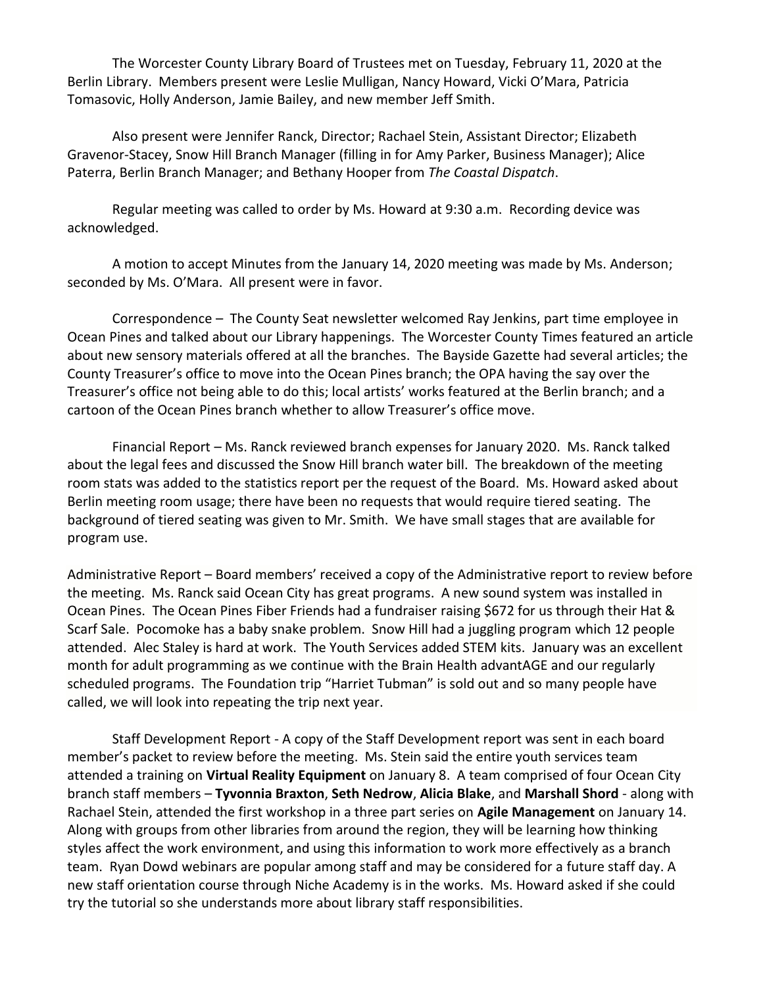The Worcester County Library Board of Trustees met on Tuesday, February 11, 2020 at the Berlin Library. Members present were Leslie Mulligan, Nancy Howard, Vicki O'Mara, Patricia Tomasovic, Holly Anderson, Jamie Bailey, and new member Jeff Smith.

Also present were Jennifer Ranck, Director; Rachael Stein, Assistant Director; Elizabeth Gravenor-Stacey, Snow Hill Branch Manager (filling in for Amy Parker, Business Manager); Alice Paterra, Berlin Branch Manager; and Bethany Hooper from *The Coastal Dispatch*.

Regular meeting was called to order by Ms. Howard at 9:30 a.m. Recording device was acknowledged.

A motion to accept Minutes from the January 14, 2020 meeting was made by Ms. Anderson; seconded by Ms. O'Mara. All present were in favor.

Correspondence – The County Seat newsletter welcomed Ray Jenkins, part time employee in Ocean Pines and talked about our Library happenings. The Worcester County Times featured an article about new sensory materials offered at all the branches. The Bayside Gazette had several articles; the County Treasurer's office to move into the Ocean Pines branch; the OPA having the say over the Treasurer's office not being able to do this; local artists' works featured at the Berlin branch; and a cartoon of the Ocean Pines branch whether to allow Treasurer's office move.

Financial Report – Ms. Ranck reviewed branch expenses for January 2020. Ms. Ranck talked about the legal fees and discussed the Snow Hill branch water bill. The breakdown of the meeting room stats was added to the statistics report per the request of the Board. Ms. Howard asked about Berlin meeting room usage; there have been no requests that would require tiered seating. The background of tiered seating was given to Mr. Smith. We have small stages that are available for program use.

Administrative Report – Board members' received a copy of the Administrative report to review before the meeting. Ms. Ranck said Ocean City has great programs. A new sound system was installed in Ocean Pines. The Ocean Pines Fiber Friends had a fundraiser raising \$672 for us through their Hat & Scarf Sale. Pocomoke has a baby snake problem. Snow Hill had a juggling program which 12 people attended. Alec Staley is hard at work. The Youth Services added STEM kits. January was an excellent month for adult programming as we continue with the Brain Health advantAGE and our regularly scheduled programs. The Foundation trip "Harriet Tubman" is sold out and so many people have called, we will look into repeating the trip next year.

Staff Development Report - A copy of the Staff Development report was sent in each board member's packet to review before the meeting. Ms. Stein said the entire youth services team attended a training on **Virtual Reality Equipment** on January 8. A team comprised of four Ocean City branch staff members – **Tyvonnia Braxton**, **Seth Nedrow**, **Alicia Blake**, and **Marshall Shord** - along with Rachael Stein, attended the first workshop in a three part series on **Agile Management** on January 14. Along with groups from other libraries from around the region, they will be learning how thinking styles affect the work environment, and using this information to work more effectively as a branch team. Ryan Dowd webinars are popular among staff and may be considered for a future staff day. A new staff orientation course through Niche Academy is in the works. Ms. Howard asked if she could try the tutorial so she understands more about library staff responsibilities.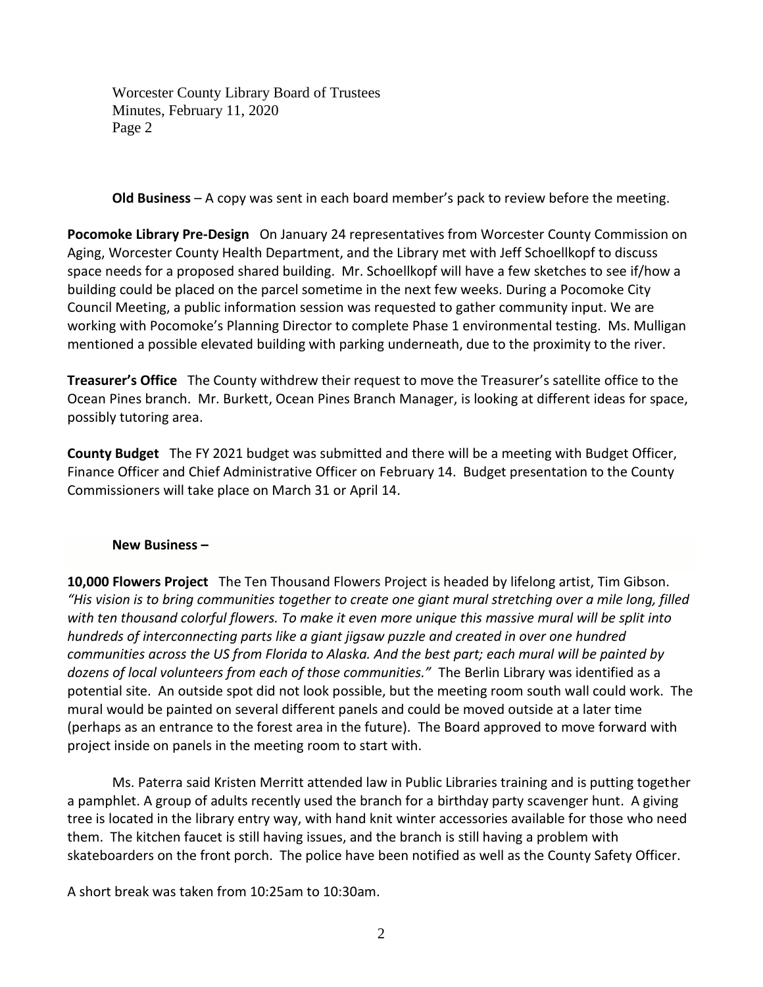Worcester County Library Board of Trustees Minutes, February 11, 2020 Page 2

**Old Business** – A copy was sent in each board member's pack to review before the meeting.

**Pocomoke Library Pre-Design** On January 24 representatives from Worcester County Commission on Aging, Worcester County Health Department, and the Library met with Jeff Schoellkopf to discuss space needs for a proposed shared building. Mr. Schoellkopf will have a few sketches to see if/how a building could be placed on the parcel sometime in the next few weeks. During a Pocomoke City Council Meeting, a public information session was requested to gather community input. We are working with Pocomoke's Planning Director to complete Phase 1 environmental testing. Ms. Mulligan mentioned a possible elevated building with parking underneath, due to the proximity to the river.

**Treasurer's Office** The County withdrew their request to move the Treasurer's satellite office to the Ocean Pines branch. Mr. Burkett, Ocean Pines Branch Manager, is looking at different ideas for space, possibly tutoring area.

**County Budget** The FY 2021 budget was submitted and there will be a meeting with Budget Officer, Finance Officer and Chief Administrative Officer on February 14. Budget presentation to the County Commissioners will take place on March 31 or April 14.

## **New Business –**

**10,000 Flowers Project** The Ten Thousand Flowers Project is headed by lifelong artist, Tim Gibson. *"His vision is to bring communities together to create one giant mural stretching over a mile long, filled with ten thousand colorful flowers. To make it even more unique this massive mural will be split into hundreds of interconnecting parts like a giant jigsaw puzzle and created in over one hundred communities across the US from Florida to Alaska. And the best part; each mural will be painted by dozens of local volunteers from each of those communities."* The Berlin Library was identified as a potential site. An outside spot did not look possible, but the meeting room south wall could work. The mural would be painted on several different panels and could be moved outside at a later time (perhaps as an entrance to the forest area in the future). The Board approved to move forward with project inside on panels in the meeting room to start with.

Ms. Paterra said Kristen Merritt attended law in Public Libraries training and is putting together a pamphlet. A group of adults recently used the branch for a birthday party scavenger hunt. A giving tree is located in the library entry way, with hand knit winter accessories available for those who need them. The kitchen faucet is still having issues, and the branch is still having a problem with skateboarders on the front porch. The police have been notified as well as the County Safety Officer.

A short break was taken from 10:25am to 10:30am.